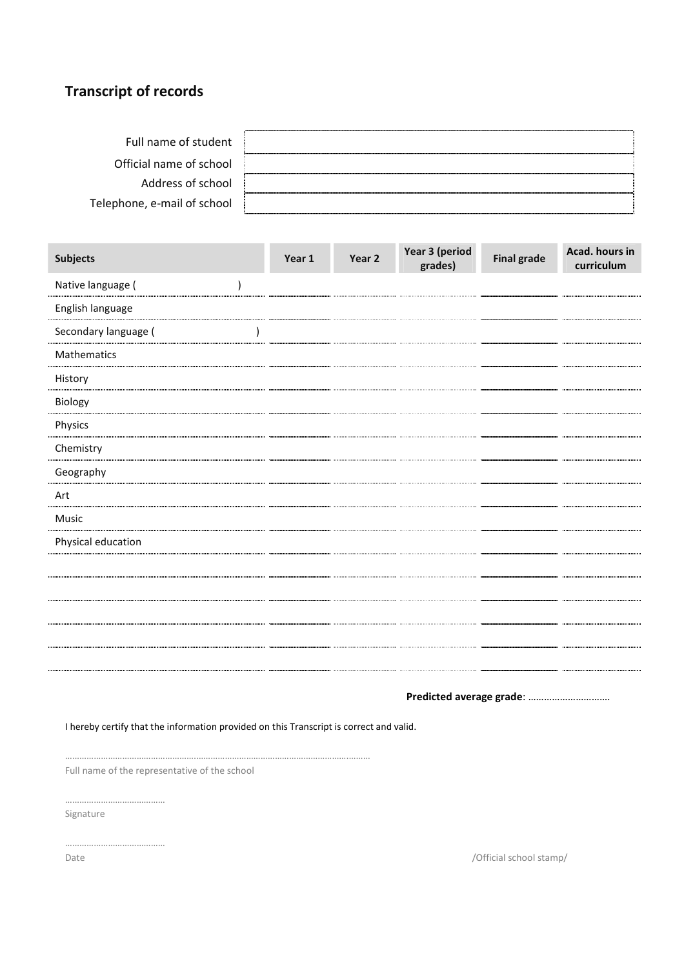## Transcript of records

| Full name of student        |  |
|-----------------------------|--|
| Official name of school     |  |
| Address of school           |  |
| Telephone, e-mail of school |  |

| Subjects             | Year 1 | Year 2 | Year 3 (period<br>grades) | <b>Final grade</b> | Acad. hours in<br>curriculum |
|----------------------|--------|--------|---------------------------|--------------------|------------------------------|
| Native language (    |        |        |                           |                    |                              |
| English language     |        |        |                           |                    |                              |
| Secondary language ( |        |        |                           |                    |                              |
| Mathematics          |        |        |                           |                    |                              |
| History              |        |        |                           |                    |                              |
| Biology              |        |        |                           |                    |                              |
| Physics              |        |        |                           |                    |                              |
| Chemistry            |        |        |                           |                    |                              |
| Geography            |        |        |                           |                    |                              |
| Art                  |        |        |                           |                    |                              |
| Music                |        |        |                           |                    |                              |
| Physical education   |        |        |                           |                    |                              |
|                      |        |        |                           |                    |                              |
|                      |        |        |                           |                    |                              |
|                      |        |        |                           |                    |                              |
|                      |        |        |                           |                    |                              |
|                      |        |        |                           |                    |                              |
|                      |        |        |                           |                    |                              |

Predicted average grade: ………………………….

I hereby certify that the information provided on this Transcript is correct and valid.

……………………………………………….……………………………………………………….……… Full name of the representative of the school

……………………………………

Signature

……………………………………

Date / Official school stamp/